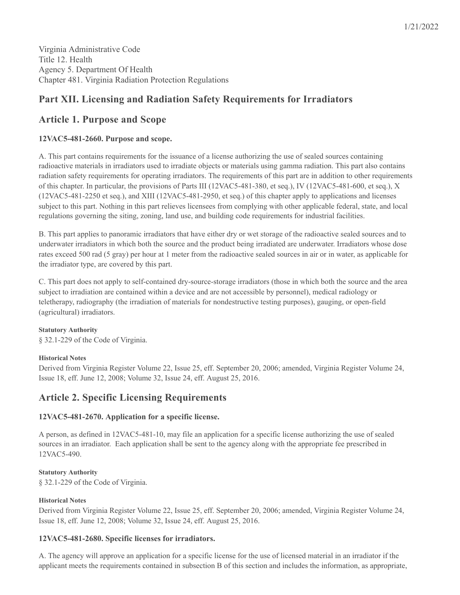Virginia Administrative Code Title 12. Health Agency 5. Department Of Health Chapter 481. Virginia Radiation Protection Regulations

# **Part XII. Licensing and Radiation Safety Requirements for Irradiators**

# **Article 1. Purpose and Scope**

## **12VAC5-481-2660. Purpose and scope.**

A. This part contains requirements for the issuance of a license authorizing the use of sealed sources containing radioactive materials in irradiators used to irradiate objects or materials using gamma radiation. This part also contains radiation safety requirements for operating irradiators. The requirements of this part are in addition to other requirements of this chapter. In particular, the provisions of Parts III (12VAC5-481-380, et seq.), IV (12VAC5-481-600, et seq.), X (12VAC5-481-2250 et seq.), and XIII (12VAC5-481-2950, et seq.) of this chapter apply to applications and licenses subject to this part. Nothing in this part relieves licensees from complying with other applicable federal, state, and local regulations governing the siting, zoning, land use, and building code requirements for industrial facilities.

B. This part applies to panoramic irradiators that have either dry or wet storage of the radioactive sealed sources and to underwater irradiators in which both the source and the product being irradiated are underwater. Irradiators whose dose rates exceed 500 rad (5 gray) per hour at 1 meter from the radioactive sealed sources in air or in water, as applicable for the irradiator type, are covered by this part.

C. This part does not apply to self-contained dry-source-storage irradiators (those in which both the source and the area subject to irradiation are contained within a device and are not accessible by personnel), medical radiology or teletherapy, radiography (the irradiation of materials for nondestructive testing purposes), gauging, or open-field (agricultural) irradiators.

## **Statutory Authority**

§ 32.1-229 of the Code of Virginia.

## **Historical Notes**

Derived from Virginia Register Volume 22, Issue 25, eff. September 20, 2006; amended, Virginia Register Volume 24, Issue 18, eff. June 12, 2008; Volume 32, Issue 24, eff. August 25, 2016.

# **Article 2. Specific Licensing Requirements**

## **12VAC5-481-2670. Application for a specific license.**

A person, as defined in 12VAC5-481-10, may file an application for a specific license authorizing the use of sealed sources in an irradiator. Each application shall be sent to the agency along with the appropriate fee prescribed in 12VAC5-490.

## **Statutory Authority**

§ 32.1-229 of the Code of Virginia.

## **Historical Notes**

Derived from Virginia Register Volume 22, Issue 25, eff. September 20, 2006; amended, Virginia Register Volume 24, Issue 18, eff. June 12, 2008; Volume 32, Issue 24, eff. August 25, 2016.

## **12VAC5-481-2680. Specific licenses for irradiators.**

A. The agency will approve an application for a specific license for the use of licensed material in an irradiator if the applicant meets the requirements contained in subsection B of this section and includes the information, as appropriate,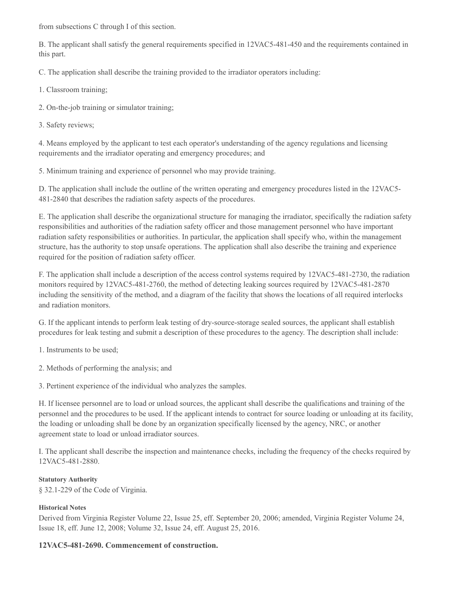from subsections C through I of this section.

B. The applicant shall satisfy the general requirements specified in 12VAC5-481-450 and the requirements contained in this part.

C. The application shall describe the training provided to the irradiator operators including:

1. Classroom training;

2. On-the-job training or simulator training;

3. Safety reviews;

4. Means employed by the applicant to test each operator's understanding of the agency regulations and licensing requirements and the irradiator operating and emergency procedures; and

5. Minimum training and experience of personnel who may provide training.

D. The application shall include the outline of the written operating and emergency procedures listed in the 12VAC5- 481-2840 that describes the radiation safety aspects of the procedures.

E. The application shall describe the organizational structure for managing the irradiator, specifically the radiation safety responsibilities and authorities of the radiation safety officer and those management personnel who have important radiation safety responsibilities or authorities. In particular, the application shall specify who, within the management structure, has the authority to stop unsafe operations. The application shall also describe the training and experience required for the position of radiation safety officer.

F. The application shall include a description of the access control systems required by 12VAC5-481-2730, the radiation monitors required by 12VAC5-481-2760, the method of detecting leaking sources required by 12VAC5-481-2870 including the sensitivity of the method, and a diagram of the facility that shows the locations of all required interlocks and radiation monitors.

G. If the applicant intends to perform leak testing of dry-source-storage sealed sources, the applicant shall establish procedures for leak testing and submit a description of these procedures to the agency. The description shall include:

1. Instruments to be used;

2. Methods of performing the analysis; and

3. Pertinent experience of the individual who analyzes the samples.

H. If licensee personnel are to load or unload sources, the applicant shall describe the qualifications and training of the personnel and the procedures to be used. If the applicant intends to contract for source loading or unloading at its facility, the loading or unloading shall be done by an organization specifically licensed by the agency, NRC, or another agreement state to load or unload irradiator sources.

I. The applicant shall describe the inspection and maintenance checks, including the frequency of the checks required by 12VAC5-481-2880.

## **Statutory Authority**

§ 32.1-229 of the Code of Virginia.

## **Historical Notes**

Derived from Virginia Register Volume 22, Issue 25, eff. September 20, 2006; amended, Virginia Register Volume 24, Issue 18, eff. June 12, 2008; Volume 32, Issue 24, eff. August 25, 2016.

## **12VAC5-481-2690. Commencement of construction.**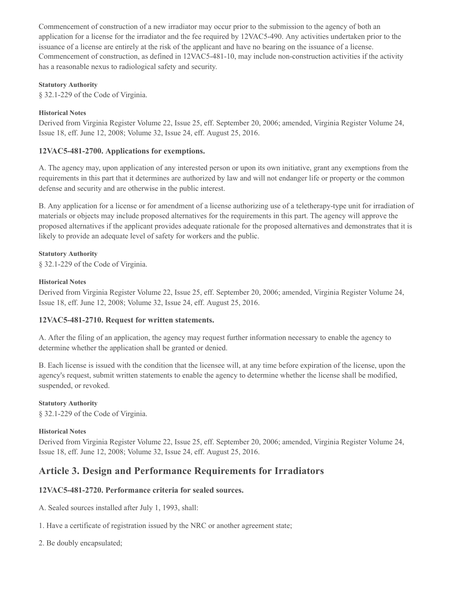Commencement of construction of a new irradiator may occur prior to the submission to the agency of both an application for a license for the irradiator and the fee required by 12VAC5-490. Any activities undertaken prior to the issuance of a license are entirely at the risk of the applicant and have no bearing on the issuance of a license. Commencement of construction, as defined in 12VAC5-481-10, may include non-construction activities if the activity has a reasonable nexus to radiological safety and security.

#### **Statutory Authority**

§ 32.1-229 of the Code of Virginia.

#### **Historical Notes**

Derived from Virginia Register Volume 22, Issue 25, eff. September 20, 2006; amended, Virginia Register Volume 24, Issue 18, eff. June 12, 2008; Volume 32, Issue 24, eff. August 25, 2016.

## **12VAC5-481-2700. Applications for exemptions.**

A. The agency may, upon application of any interested person or upon its own initiative, grant any exemptions from the requirements in this part that it determines are authorized by law and will not endanger life or property or the common defense and security and are otherwise in the public interest.

B. Any application for a license or for amendment of a license authorizing use of a teletherapy-type unit for irradiation of materials or objects may include proposed alternatives for the requirements in this part. The agency will approve the proposed alternatives if the applicant provides adequate rationale for the proposed alternatives and demonstrates that it is likely to provide an adequate level of safety for workers and the public.

#### **Statutory Authority**

§ 32.1-229 of the Code of Virginia.

#### **Historical Notes**

Derived from Virginia Register Volume 22, Issue 25, eff. September 20, 2006; amended, Virginia Register Volume 24, Issue 18, eff. June 12, 2008; Volume 32, Issue 24, eff. August 25, 2016.

## **12VAC5-481-2710. Request for written statements.**

A. After the filing of an application, the agency may request further information necessary to enable the agency to determine whether the application shall be granted or denied.

B. Each license is issued with the condition that the licensee will, at any time before expiration of the license, upon the agency's request, submit written statements to enable the agency to determine whether the license shall be modified, suspended, or revoked.

## **Statutory Authority**

§ 32.1-229 of the Code of Virginia.

## **Historical Notes**

Derived from Virginia Register Volume 22, Issue 25, eff. September 20, 2006; amended, Virginia Register Volume 24, Issue 18, eff. June 12, 2008; Volume 32, Issue 24, eff. August 25, 2016.

# **Article 3. Design and Performance Requirements for Irradiators**

## **12VAC5-481-2720. Performance criteria for sealed sources.**

- A. Sealed sources installed after July 1, 1993, shall:
- 1. Have a certificate of registration issued by the NRC or another agreement state;
- 2. Be doubly encapsulated;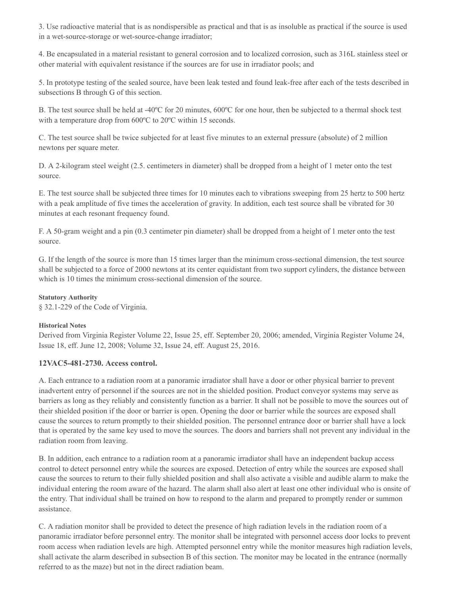3. Use radioactive material that is as nondispersible as practical and that is as insoluble as practical if the source is used in a wet-source-storage or wet-source-change irradiator;

4. Be encapsulated in a material resistant to general corrosion and to localized corrosion, such as 316L stainless steel or other material with equivalent resistance if the sources are for use in irradiator pools; and

5. In prototype testing of the sealed source, have been leak tested and found leak-free after each of the tests described in subsections B through G of this section.

B. The test source shall be held at -40ºC for 20 minutes, 600ºC for one hour, then be subjected to a thermal shock test with a temperature drop from 600ºC to 20ºC within 15 seconds.

C. The test source shall be twice subjected for at least five minutes to an external pressure (absolute) of 2 million newtons per square meter.

D. A 2-kilogram steel weight (2.5. centimeters in diameter) shall be dropped from a height of 1 meter onto the test source.

E. The test source shall be subjected three times for 10 minutes each to vibrations sweeping from 25 hertz to 500 hertz with a peak amplitude of five times the acceleration of gravity. In addition, each test source shall be vibrated for 30 minutes at each resonant frequency found.

F. A 50-gram weight and a pin (0.3 centimeter pin diameter) shall be dropped from a height of 1 meter onto the test source.

G. If the length of the source is more than 15 times larger than the minimum cross-sectional dimension, the test source shall be subjected to a force of 2000 newtons at its center equidistant from two support cylinders, the distance between which is 10 times the minimum cross-sectional dimension of the source.

#### **Statutory Authority**

§ 32.1-229 of the Code of Virginia.

## **Historical Notes**

Derived from Virginia Register Volume 22, Issue 25, eff. September 20, 2006; amended, Virginia Register Volume 24, Issue 18, eff. June 12, 2008; Volume 32, Issue 24, eff. August 25, 2016.

## **12VAC5-481-2730. Access control.**

A. Each entrance to a radiation room at a panoramic irradiator shall have a door or other physical barrier to prevent inadvertent entry of personnel if the sources are not in the shielded position. Product conveyor systems may serve as barriers as long as they reliably and consistently function as a barrier. It shall not be possible to move the sources out of their shielded position if the door or barrier is open. Opening the door or barrier while the sources are exposed shall cause the sources to return promptly to their shielded position. The personnel entrance door or barrier shall have a lock that is operated by the same key used to move the sources. The doors and barriers shall not prevent any individual in the radiation room from leaving.

B. In addition, each entrance to a radiation room at a panoramic irradiator shall have an independent backup access control to detect personnel entry while the sources are exposed. Detection of entry while the sources are exposed shall cause the sources to return to their fully shielded position and shall also activate a visible and audible alarm to make the individual entering the room aware of the hazard. The alarm shall also alert at least one other individual who is onsite of the entry. That individual shall be trained on how to respond to the alarm and prepared to promptly render or summon assistance.

C. A radiation monitor shall be provided to detect the presence of high radiation levels in the radiation room of a panoramic irradiator before personnel entry. The monitor shall be integrated with personnel access door locks to prevent room access when radiation levels are high. Attempted personnel entry while the monitor measures high radiation levels, shall activate the alarm described in subsection B of this section. The monitor may be located in the entrance (normally referred to as the maze) but not in the direct radiation beam.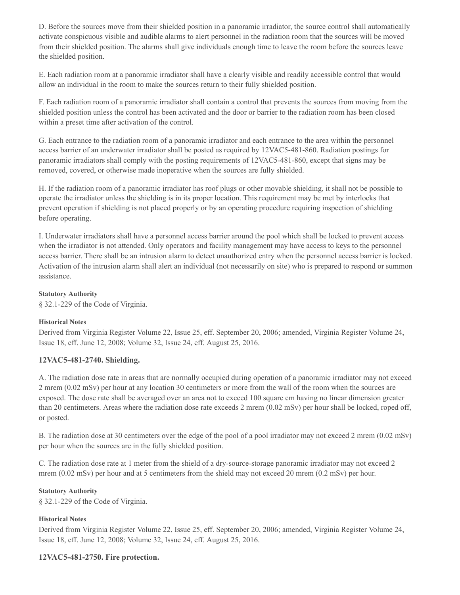D. Before the sources move from their shielded position in a panoramic irradiator, the source control shall automatically activate conspicuous visible and audible alarms to alert personnel in the radiation room that the sources will be moved from their shielded position. The alarms shall give individuals enough time to leave the room before the sources leave the shielded position.

E. Each radiation room at a panoramic irradiator shall have a clearly visible and readily accessible control that would allow an individual in the room to make the sources return to their fully shielded position.

F. Each radiation room of a panoramic irradiator shall contain a control that prevents the sources from moving from the shielded position unless the control has been activated and the door or barrier to the radiation room has been closed within a preset time after activation of the control.

G. Each entrance to the radiation room of a panoramic irradiator and each entrance to the area within the personnel access barrier of an underwater irradiator shall be posted as required by 12VAC5-481-860. Radiation postings for panoramic irradiators shall comply with the posting requirements of 12VAC5-481-860, except that signs may be removed, covered, or otherwise made inoperative when the sources are fully shielded.

H. If the radiation room of a panoramic irradiator has roof plugs or other movable shielding, it shall not be possible to operate the irradiator unless the shielding is in its proper location. This requirement may be met by interlocks that prevent operation if shielding is not placed properly or by an operating procedure requiring inspection of shielding before operating.

I. Underwater irradiators shall have a personnel access barrier around the pool which shall be locked to prevent access when the irradiator is not attended. Only operators and facility management may have access to keys to the personnel access barrier. There shall be an intrusion alarm to detect unauthorized entry when the personnel access barrier is locked. Activation of the intrusion alarm shall alert an individual (not necessarily on site) who is prepared to respond or summon assistance.

#### **Statutory Authority**

§ 32.1-229 of the Code of Virginia.

## **Historical Notes**

Derived from Virginia Register Volume 22, Issue 25, eff. September 20, 2006; amended, Virginia Register Volume 24, Issue 18, eff. June 12, 2008; Volume 32, Issue 24, eff. August 25, 2016.

## **12VAC5-481-2740. Shielding.**

A. The radiation dose rate in areas that are normally occupied during operation of a panoramic irradiator may not exceed 2 mrem (0.02 mSv) per hour at any location 30 centimeters or more from the wall of the room when the sources are exposed. The dose rate shall be averaged over an area not to exceed 100 square cm having no linear dimension greater than 20 centimeters. Areas where the radiation dose rate exceeds 2 mrem (0.02 mSv) per hour shall be locked, roped off, or posted.

B. The radiation dose at 30 centimeters over the edge of the pool of a pool irradiator may not exceed 2 mrem (0.02 mSv) per hour when the sources are in the fully shielded position.

C. The radiation dose rate at 1 meter from the shield of a dry-source-storage panoramic irradiator may not exceed 2 mrem (0.02 mSv) per hour and at 5 centimeters from the shield may not exceed 20 mrem (0.2 mSv) per hour.

#### **Statutory Authority**

§ 32.1-229 of the Code of Virginia.

## **Historical Notes**

Derived from Virginia Register Volume 22, Issue 25, eff. September 20, 2006; amended, Virginia Register Volume 24, Issue 18, eff. June 12, 2008; Volume 32, Issue 24, eff. August 25, 2016.

## **12VAC5-481-2750. Fire protection.**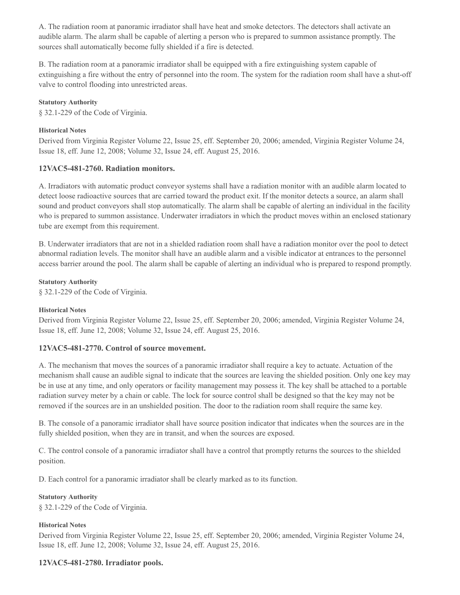A. The radiation room at panoramic irradiator shall have heat and smoke detectors. The detectors shall activate an audible alarm. The alarm shall be capable of alerting a person who is prepared to summon assistance promptly. The sources shall automatically become fully shielded if a fire is detected.

B. The radiation room at a panoramic irradiator shall be equipped with a fire extinguishing system capable of extinguishing a fire without the entry of personnel into the room. The system for the radiation room shall have a shut-off valve to control flooding into unrestricted areas.

#### **Statutory Authority**

§ 32.1-229 of the Code of Virginia.

#### **Historical Notes**

Derived from Virginia Register Volume 22, Issue 25, eff. September 20, 2006; amended, Virginia Register Volume 24, Issue 18, eff. June 12, 2008; Volume 32, Issue 24, eff. August 25, 2016.

## **12VAC5-481-2760. Radiation monitors.**

A. Irradiators with automatic product conveyor systems shall have a radiation monitor with an audible alarm located to detect loose radioactive sources that are carried toward the product exit. If the monitor detects a source, an alarm shall sound and product conveyors shall stop automatically. The alarm shall be capable of alerting an individual in the facility who is prepared to summon assistance. Underwater irradiators in which the product moves within an enclosed stationary tube are exempt from this requirement.

B. Underwater irradiators that are not in a shielded radiation room shall have a radiation monitor over the pool to detect abnormal radiation levels. The monitor shall have an audible alarm and a visible indicator at entrances to the personnel access barrier around the pool. The alarm shall be capable of alerting an individual who is prepared to respond promptly.

#### **Statutory Authority**

§ 32.1-229 of the Code of Virginia.

#### **Historical Notes**

Derived from Virginia Register Volume 22, Issue 25, eff. September 20, 2006; amended, Virginia Register Volume 24, Issue 18, eff. June 12, 2008; Volume 32, Issue 24, eff. August 25, 2016.

## **12VAC5-481-2770. Control of source movement.**

A. The mechanism that moves the sources of a panoramic irradiator shall require a key to actuate. Actuation of the mechanism shall cause an audible signal to indicate that the sources are leaving the shielded position. Only one key may be in use at any time, and only operators or facility management may possess it. The key shall be attached to a portable radiation survey meter by a chain or cable. The lock for source control shall be designed so that the key may not be removed if the sources are in an unshielded position. The door to the radiation room shall require the same key.

B. The console of a panoramic irradiator shall have source position indicator that indicates when the sources are in the fully shielded position, when they are in transit, and when the sources are exposed.

C. The control console of a panoramic irradiator shall have a control that promptly returns the sources to the shielded position.

D. Each control for a panoramic irradiator shall be clearly marked as to its function.

#### **Statutory Authority**

§ 32.1-229 of the Code of Virginia.

#### **Historical Notes**

Derived from Virginia Register Volume 22, Issue 25, eff. September 20, 2006; amended, Virginia Register Volume 24, Issue 18, eff. June 12, 2008; Volume 32, Issue 24, eff. August 25, 2016.

## **12VAC5-481-2780. Irradiator pools.**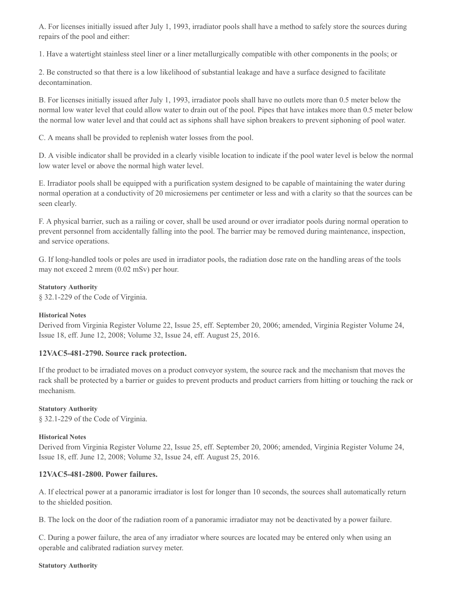A. For licenses initially issued after July 1, 1993, irradiator pools shall have a method to safely store the sources during repairs of the pool and either:

1. Have a watertight stainless steel liner or a liner metallurgically compatible with other components in the pools; or

2. Be constructed so that there is a low likelihood of substantial leakage and have a surface designed to facilitate decontamination.

B. For licenses initially issued after July 1, 1993, irradiator pools shall have no outlets more than 0.5 meter below the normal low water level that could allow water to drain out of the pool. Pipes that have intakes more than 0.5 meter below the normal low water level and that could act as siphons shall have siphon breakers to prevent siphoning of pool water.

C. A means shall be provided to replenish water losses from the pool.

D. A visible indicator shall be provided in a clearly visible location to indicate if the pool water level is below the normal low water level or above the normal high water level.

E. Irradiator pools shall be equipped with a purification system designed to be capable of maintaining the water during normal operation at a conductivity of 20 microsiemens per centimeter or less and with a clarity so that the sources can be seen clearly.

F. A physical barrier, such as a railing or cover, shall be used around or over irradiator pools during normal operation to prevent personnel from accidentally falling into the pool. The barrier may be removed during maintenance, inspection, and service operations.

G. If long-handled tools or poles are used in irradiator pools, the radiation dose rate on the handling areas of the tools may not exceed 2 mrem (0.02 mSv) per hour.

#### **Statutory Authority**

§ 32.1-229 of the Code of Virginia.

#### **Historical Notes**

Derived from Virginia Register Volume 22, Issue 25, eff. September 20, 2006; amended, Virginia Register Volume 24, Issue 18, eff. June 12, 2008; Volume 32, Issue 24, eff. August 25, 2016.

#### **12VAC5-481-2790. Source rack protection.**

If the product to be irradiated moves on a product conveyor system, the source rack and the mechanism that moves the rack shall be protected by a barrier or guides to prevent products and product carriers from hitting or touching the rack or mechanism.

#### **Statutory Authority**

§ 32.1-229 of the Code of Virginia.

#### **Historical Notes**

Derived from Virginia Register Volume 22, Issue 25, eff. September 20, 2006; amended, Virginia Register Volume 24, Issue 18, eff. June 12, 2008; Volume 32, Issue 24, eff. August 25, 2016.

#### **12VAC5-481-2800. Power failures.**

A. If electrical power at a panoramic irradiator is lost for longer than 10 seconds, the sources shall automatically return to the shielded position.

B. The lock on the door of the radiation room of a panoramic irradiator may not be deactivated by a power failure.

C. During a power failure, the area of any irradiator where sources are located may be entered only when using an operable and calibrated radiation survey meter.

#### **Statutory Authority**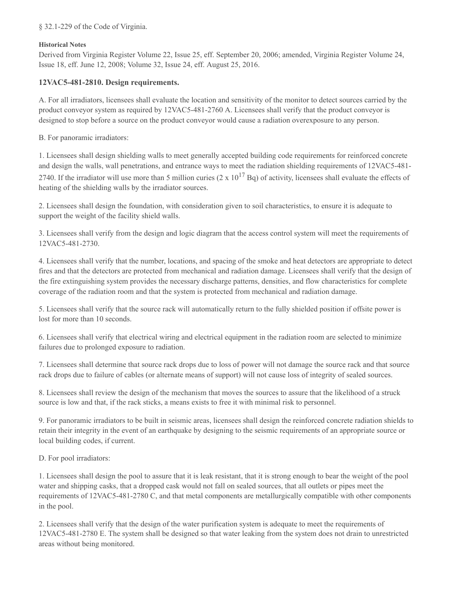§ 32.1-229 of the Code of Virginia.

#### **Historical Notes**

Derived from Virginia Register Volume 22, Issue 25, eff. September 20, 2006; amended, Virginia Register Volume 24, Issue 18, eff. June 12, 2008; Volume 32, Issue 24, eff. August 25, 2016.

## **12VAC5-481-2810. Design requirements.**

A. For all irradiators, licensees shall evaluate the location and sensitivity of the monitor to detect sources carried by the product conveyor system as required by 12VAC5-481-2760 A. Licensees shall verify that the product conveyor is designed to stop before a source on the product conveyor would cause a radiation overexposure to any person.

B. For panoramic irradiators:

1. Licensees shall design shielding walls to meet generally accepted building code requirements for reinforced concrete and design the walls, wall penetrations, and entrance ways to meet the radiation shielding requirements of 12VAC5-481- 2740. If the irradiator will use more than 5 million curies  $(2 \times 10^{17}$  Bq) of activity, licensees shall evaluate the effects of heating of the shielding walls by the irradiator sources.

2. Licensees shall design the foundation, with consideration given to soil characteristics, to ensure it is adequate to support the weight of the facility shield walls.

3. Licensees shall verify from the design and logic diagram that the access control system will meet the requirements of 12VAC5-481-2730.

4. Licensees shall verify that the number, locations, and spacing of the smoke and heat detectors are appropriate to detect fires and that the detectors are protected from mechanical and radiation damage. Licensees shall verify that the design of the fire extinguishing system provides the necessary discharge patterns, densities, and flow characteristics for complete coverage of the radiation room and that the system is protected from mechanical and radiation damage.

5. Licensees shall verify that the source rack will automatically return to the fully shielded position if offsite power is lost for more than 10 seconds.

6. Licensees shall verify that electrical wiring and electrical equipment in the radiation room are selected to minimize failures due to prolonged exposure to radiation.

7. Licensees shall determine that source rack drops due to loss of power will not damage the source rack and that source rack drops due to failure of cables (or alternate means of support) will not cause loss of integrity of sealed sources.

8. Licensees shall review the design of the mechanism that moves the sources to assure that the likelihood of a struck source is low and that, if the rack sticks, a means exists to free it with minimal risk to personnel.

9. For panoramic irradiators to be built in seismic areas, licensees shall design the reinforced concrete radiation shields to retain their integrity in the event of an earthquake by designing to the seismic requirements of an appropriate source or local building codes, if current.

D. For pool irradiators:

1. Licensees shall design the pool to assure that it is leak resistant, that it is strong enough to bear the weight of the pool water and shipping casks, that a dropped cask would not fall on sealed sources, that all outlets or pipes meet the requirements of 12VAC5-481-2780 C, and that metal components are metallurgically compatible with other components in the pool.

2. Licensees shall verify that the design of the water purification system is adequate to meet the requirements of 12VAC5-481-2780 E. The system shall be designed so that water leaking from the system does not drain to unrestricted areas without being monitored.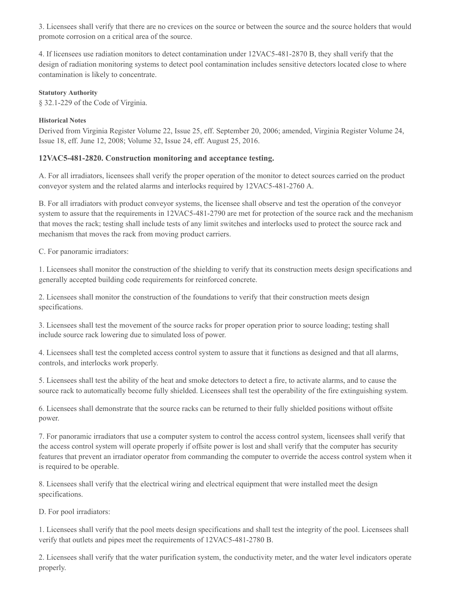3. Licensees shall verify that there are no crevices on the source or between the source and the source holders that would promote corrosion on a critical area of the source.

4. If licensees use radiation monitors to detect contamination under 12VAC5-481-2870 B, they shall verify that the design of radiation monitoring systems to detect pool contamination includes sensitive detectors located close to where contamination is likely to concentrate.

#### **Statutory Authority**

§ 32.1-229 of the Code of Virginia.

#### **Historical Notes**

Derived from Virginia Register Volume 22, Issue 25, eff. September 20, 2006; amended, Virginia Register Volume 24, Issue 18, eff. June 12, 2008; Volume 32, Issue 24, eff. August 25, 2016.

## **12VAC5-481-2820. Construction monitoring and acceptance testing.**

A. For all irradiators, licensees shall verify the proper operation of the monitor to detect sources carried on the product conveyor system and the related alarms and interlocks required by 12VAC5-481-2760 A.

B. For all irradiators with product conveyor systems, the licensee shall observe and test the operation of the conveyor system to assure that the requirements in 12VAC5-481-2790 are met for protection of the source rack and the mechanism that moves the rack; testing shall include tests of any limit switches and interlocks used to protect the source rack and mechanism that moves the rack from moving product carriers.

C. For panoramic irradiators:

1. Licensees shall monitor the construction of the shielding to verify that its construction meets design specifications and generally accepted building code requirements for reinforced concrete.

2. Licensees shall monitor the construction of the foundations to verify that their construction meets design specifications.

3. Licensees shall test the movement of the source racks for proper operation prior to source loading; testing shall include source rack lowering due to simulated loss of power.

4. Licensees shall test the completed access control system to assure that it functions as designed and that all alarms, controls, and interlocks work properly.

5. Licensees shall test the ability of the heat and smoke detectors to detect a fire, to activate alarms, and to cause the source rack to automatically become fully shielded. Licensees shall test the operability of the fire extinguishing system.

6. Licensees shall demonstrate that the source racks can be returned to their fully shielded positions without offsite power.

7. For panoramic irradiators that use a computer system to control the access control system, licensees shall verify that the access control system will operate properly if offsite power is lost and shall verify that the computer has security features that prevent an irradiator operator from commanding the computer to override the access control system when it is required to be operable.

8. Licensees shall verify that the electrical wiring and electrical equipment that were installed meet the design specifications.

D. For pool irradiators:

1. Licensees shall verify that the pool meets design specifications and shall test the integrity of the pool. Licensees shall verify that outlets and pipes meet the requirements of 12VAC5-481-2780 B.

2. Licensees shall verify that the water purification system, the conductivity meter, and the water level indicators operate properly.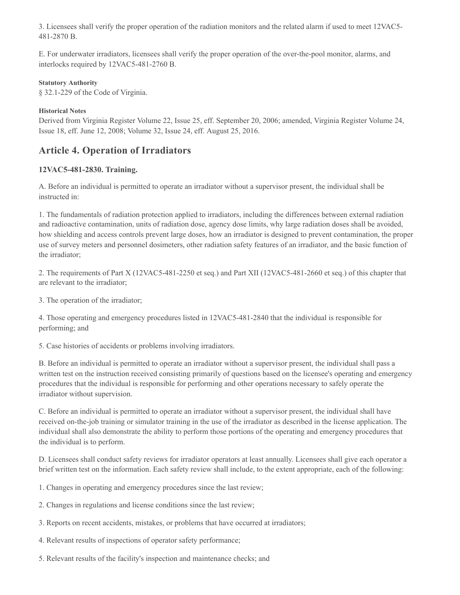3. Licensees shall verify the proper operation of the radiation monitors and the related alarm if used to meet 12VAC5- 481-2870 B.

E. For underwater irradiators, licensees shall verify the proper operation of the over-the-pool monitor, alarms, and interlocks required by 12VAC5-481-2760 B.

#### **Statutory Authority**

§ 32.1-229 of the Code of Virginia.

#### **Historical Notes**

Derived from Virginia Register Volume 22, Issue 25, eff. September 20, 2006; amended, Virginia Register Volume 24, Issue 18, eff. June 12, 2008; Volume 32, Issue 24, eff. August 25, 2016.

# **Article 4. Operation of Irradiators**

## **12VAC5-481-2830. Training.**

A. Before an individual is permitted to operate an irradiator without a supervisor present, the individual shall be instructed in:

1. The fundamentals of radiation protection applied to irradiators, including the differences between external radiation and radioactive contamination, units of radiation dose, agency dose limits, why large radiation doses shall be avoided, how shielding and access controls prevent large doses, how an irradiator is designed to prevent contamination, the proper use of survey meters and personnel dosimeters, other radiation safety features of an irradiator, and the basic function of the irradiator;

2. The requirements of Part X (12VAC5-481-2250 et seq.) and Part XII (12VAC5-481-2660 et seq.) of this chapter that are relevant to the irradiator;

3. The operation of the irradiator;

4. Those operating and emergency procedures listed in 12VAC5-481-2840 that the individual is responsible for performing; and

5. Case histories of accidents or problems involving irradiators.

B. Before an individual is permitted to operate an irradiator without a supervisor present, the individual shall pass a written test on the instruction received consisting primarily of questions based on the licensee's operating and emergency procedures that the individual is responsible for performing and other operations necessary to safely operate the irradiator without supervision.

C. Before an individual is permitted to operate an irradiator without a supervisor present, the individual shall have received on-the-job training or simulator training in the use of the irradiator as described in the license application. The individual shall also demonstrate the ability to perform those portions of the operating and emergency procedures that the individual is to perform.

D. Licensees shall conduct safety reviews for irradiator operators at least annually. Licensees shall give each operator a brief written test on the information. Each safety review shall include, to the extent appropriate, each of the following:

1. Changes in operating and emergency procedures since the last review;

- 2. Changes in regulations and license conditions since the last review;
- 3. Reports on recent accidents, mistakes, or problems that have occurred at irradiators;
- 4. Relevant results of inspections of operator safety performance;
- 5. Relevant results of the facility's inspection and maintenance checks; and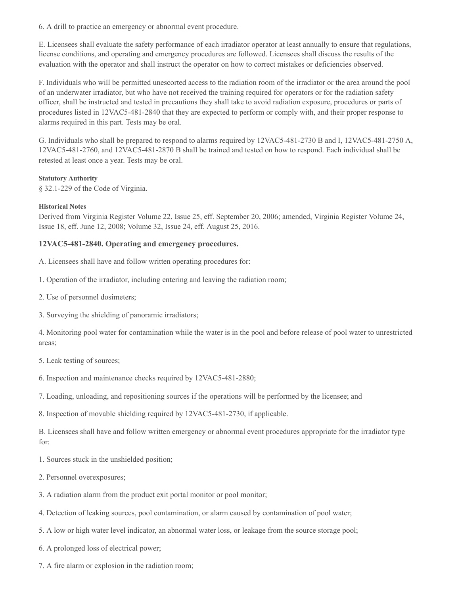6. A drill to practice an emergency or abnormal event procedure.

E. Licensees shall evaluate the safety performance of each irradiator operator at least annually to ensure that regulations, license conditions, and operating and emergency procedures are followed. Licensees shall discuss the results of the evaluation with the operator and shall instruct the operator on how to correct mistakes or deficiencies observed.

F. Individuals who will be permitted unescorted access to the radiation room of the irradiator or the area around the pool of an underwater irradiator, but who have not received the training required for operators or for the radiation safety officer, shall be instructed and tested in precautions they shall take to avoid radiation exposure, procedures or parts of procedures listed in 12VAC5-481-2840 that they are expected to perform or comply with, and their proper response to alarms required in this part. Tests may be oral.

G. Individuals who shall be prepared to respond to alarms required by 12VAC5-481-2730 B and I, 12VAC5-481-2750 A, 12VAC5-481-2760, and 12VAC5-481-2870 B shall be trained and tested on how to respond. Each individual shall be retested at least once a year. Tests may be oral.

#### **Statutory Authority**

§ 32.1-229 of the Code of Virginia.

#### **Historical Notes**

Derived from Virginia Register Volume 22, Issue 25, eff. September 20, 2006; amended, Virginia Register Volume 24, Issue 18, eff. June 12, 2008; Volume 32, Issue 24, eff. August 25, 2016.

#### **12VAC5-481-2840. Operating and emergency procedures.**

A. Licensees shall have and follow written operating procedures for:

- 1. Operation of the irradiator, including entering and leaving the radiation room;
- 2. Use of personnel dosimeters;
- 3. Surveying the shielding of panoramic irradiators;

4. Monitoring pool water for contamination while the water is in the pool and before release of pool water to unrestricted areas;

5. Leak testing of sources;

- 6. Inspection and maintenance checks required by 12VAC5-481-2880;
- 7. Loading, unloading, and repositioning sources if the operations will be performed by the licensee; and

8. Inspection of movable shielding required by 12VAC5-481-2730, if applicable.

B. Licensees shall have and follow written emergency or abnormal event procedures appropriate for the irradiator type for:

1. Sources stuck in the unshielded position;

- 2. Personnel overexposures;
- 3. A radiation alarm from the product exit portal monitor or pool monitor;
- 4. Detection of leaking sources, pool contamination, or alarm caused by contamination of pool water;
- 5. A low or high water level indicator, an abnormal water loss, or leakage from the source storage pool;
- 6. A prolonged loss of electrical power;
- 7. A fire alarm or explosion in the radiation room;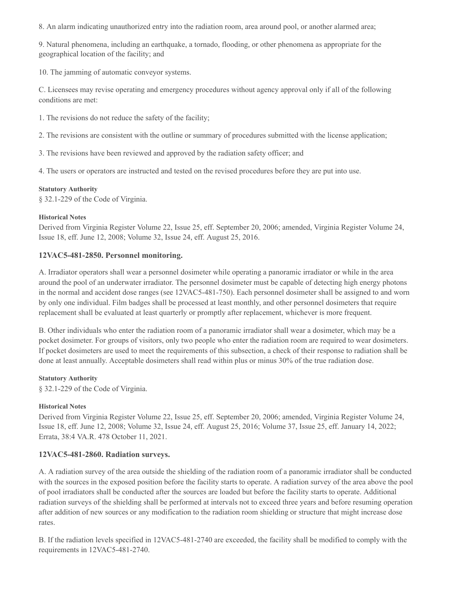8. An alarm indicating unauthorized entry into the radiation room, area around pool, or another alarmed area;

9. Natural phenomena, including an earthquake, a tornado, flooding, or other phenomena as appropriate for the geographical location of the facility; and

10. The jamming of automatic conveyor systems.

C. Licensees may revise operating and emergency procedures without agency approval only if all of the following conditions are met:

1. The revisions do not reduce the safety of the facility;

2. The revisions are consistent with the outline or summary of procedures submitted with the license application;

3. The revisions have been reviewed and approved by the radiation safety officer; and

4. The users or operators are instructed and tested on the revised procedures before they are put into use.

#### **Statutory Authority**

§ 32.1-229 of the Code of Virginia.

#### **Historical Notes**

Derived from Virginia Register Volume 22, Issue 25, eff. September 20, 2006; amended, Virginia Register Volume 24, Issue 18, eff. June 12, 2008; Volume 32, Issue 24, eff. August 25, 2016.

## **12VAC5-481-2850. Personnel monitoring.**

A. Irradiator operators shall wear a personnel dosimeter while operating a panoramic irradiator or while in the area around the pool of an underwater irradiator. The personnel dosimeter must be capable of detecting high energy photons in the normal and accident dose ranges (see 12VAC5-481-750). Each personnel dosimeter shall be assigned to and worn by only one individual. Film badges shall be processed at least monthly, and other personnel dosimeters that require replacement shall be evaluated at least quarterly or promptly after replacement, whichever is more frequent.

B. Other individuals who enter the radiation room of a panoramic irradiator shall wear a dosimeter, which may be a pocket dosimeter. For groups of visitors, only two people who enter the radiation room are required to wear dosimeters. If pocket dosimeters are used to meet the requirements of this subsection, a check of their response to radiation shall be done at least annually. Acceptable dosimeters shall read within plus or minus 30% of the true radiation dose.

#### **Statutory Authority**

§ 32.1-229 of the Code of Virginia.

## **Historical Notes**

Derived from Virginia Register Volume 22, Issue 25, eff. September 20, 2006; amended, Virginia Register Volume 24, Issue 18, eff. June 12, 2008; Volume 32, Issue 24, eff. August 25, 2016; Volume 37, Issue 25, eff. January 14, 2022; Errata, 38:4 VA.R. 478 October 11, 2021.

## **12VAC5-481-2860. Radiation surveys.**

A. A radiation survey of the area outside the shielding of the radiation room of a panoramic irradiator shall be conducted with the sources in the exposed position before the facility starts to operate. A radiation survey of the area above the pool of pool irradiators shall be conducted after the sources are loaded but before the facility starts to operate. Additional radiation surveys of the shielding shall be performed at intervals not to exceed three years and before resuming operation after addition of new sources or any modification to the radiation room shielding or structure that might increase dose rates.

B. If the radiation levels specified in 12VAC5-481-2740 are exceeded, the facility shall be modified to comply with the requirements in 12VAC5-481-2740.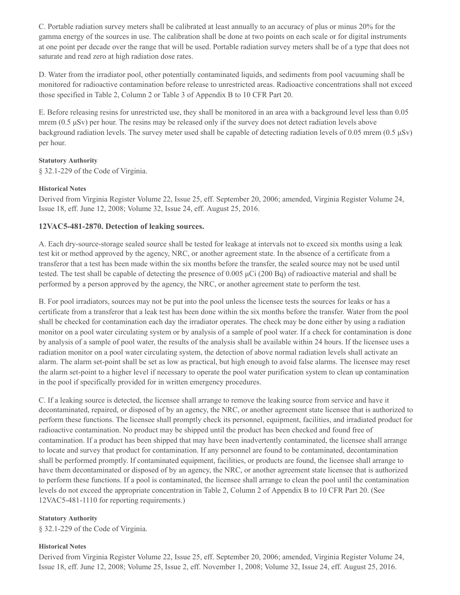C. Portable radiation survey meters shall be calibrated at least annually to an accuracy of plus or minus 20% for the gamma energy of the sources in use. The calibration shall be done at two points on each scale or for digital instruments at one point per decade over the range that will be used. Portable radiation survey meters shall be of a type that does not saturate and read zero at high radiation dose rates.

D. Water from the irradiator pool, other potentially contaminated liquids, and sediments from pool vacuuming shall be monitored for radioactive contamination before release to unrestricted areas. Radioactive concentrations shall not exceed those specified in Table 2, Column 2 or Table 3 of Appendix B to 10 CFR Part 20.

E. Before releasing resins for unrestricted use, they shall be monitored in an area with a background level less than 0.05 mrem ( $0.5 \mu Sv$ ) per hour. The resins may be released only if the survey does not detect radiation levels above background radiation levels. The survey meter used shall be capable of detecting radiation levels of 0.05 mrem (0.5 μSv) per hour.

#### **Statutory Authority**

§ 32.1-229 of the Code of Virginia.

#### **Historical Notes**

Derived from Virginia Register Volume 22, Issue 25, eff. September 20, 2006; amended, Virginia Register Volume 24, Issue 18, eff. June 12, 2008; Volume 32, Issue 24, eff. August 25, 2016.

## **12VAC5-481-2870. Detection of leaking sources.**

A. Each dry-source-storage sealed source shall be tested for leakage at intervals not to exceed six months using a leak test kit or method approved by the agency, NRC, or another agreement state. In the absence of a certificate from a transferor that a test has been made within the six months before the transfer, the sealed source may not be used until tested. The test shall be capable of detecting the presence of 0.005 μCi (200 Bq) of radioactive material and shall be performed by a person approved by the agency, the NRC, or another agreement state to perform the test.

B. For pool irradiators, sources may not be put into the pool unless the licensee tests the sources for leaks or has a certificate from a transferor that a leak test has been done within the six months before the transfer. Water from the pool shall be checked for contamination each day the irradiator operates. The check may be done either by using a radiation monitor on a pool water circulating system or by analysis of a sample of pool water. If a check for contamination is done by analysis of a sample of pool water, the results of the analysis shall be available within 24 hours. If the licensee uses a radiation monitor on a pool water circulating system, the detection of above normal radiation levels shall activate an alarm. The alarm set-point shall be set as low as practical, but high enough to avoid false alarms. The licensee may reset the alarm set-point to a higher level if necessary to operate the pool water purification system to clean up contamination in the pool if specifically provided for in written emergency procedures.

C. If a leaking source is detected, the licensee shall arrange to remove the leaking source from service and have it decontaminated, repaired, or disposed of by an agency, the NRC, or another agreement state licensee that is authorized to perform these functions. The licensee shall promptly check its personnel, equipment, facilities, and irradiated product for radioactive contamination. No product may be shipped until the product has been checked and found free of contamination. If a product has been shipped that may have been inadvertently contaminated, the licensee shall arrange to locate and survey that product for contamination. If any personnel are found to be contaminated, decontamination shall be performed promptly. If contaminated equipment, facilities, or products are found, the licensee shall arrange to have them decontaminated or disposed of by an agency, the NRC, or another agreement state licensee that is authorized to perform these functions. If a pool is contaminated, the licensee shall arrange to clean the pool until the contamination levels do not exceed the appropriate concentration in Table 2, Column 2 of Appendix B to 10 CFR Part 20. (See 12VAC5-481-1110 for reporting requirements.)

#### **Statutory Authority**

§ 32.1-229 of the Code of Virginia.

#### **Historical Notes**

Derived from Virginia Register Volume 22, Issue 25, eff. September 20, 2006; amended, Virginia Register Volume 24, Issue 18, eff. June 12, 2008; Volume 25, Issue 2, eff. November 1, 2008; Volume 32, Issue 24, eff. August 25, 2016.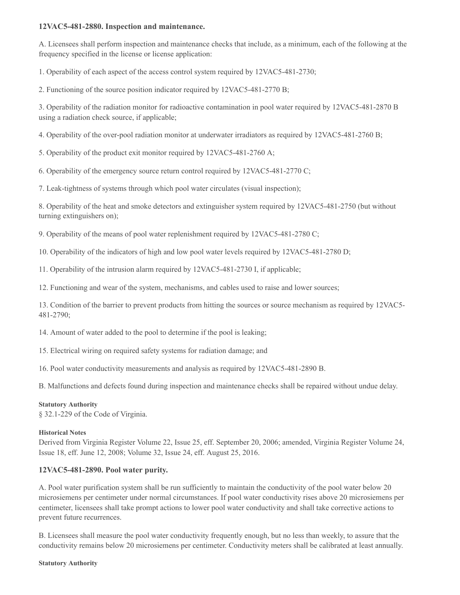#### **12VAC5-481-2880. Inspection and maintenance.**

A. Licensees shall perform inspection and maintenance checks that include, as a minimum, each of the following at the frequency specified in the license or license application:

1. Operability of each aspect of the access control system required by 12VAC5-481-2730;

2. Functioning of the source position indicator required by 12VAC5-481-2770 B;

3. Operability of the radiation monitor for radioactive contamination in pool water required by 12VAC5-481-2870 B using a radiation check source, if applicable;

4. Operability of the over-pool radiation monitor at underwater irradiators as required by 12VAC5-481-2760 B;

5. Operability of the product exit monitor required by 12VAC5-481-2760 A;

6. Operability of the emergency source return control required by 12VAC5-481-2770 C;

7. Leak-tightness of systems through which pool water circulates (visual inspection);

8. Operability of the heat and smoke detectors and extinguisher system required by 12VAC5-481-2750 (but without turning extinguishers on);

9. Operability of the means of pool water replenishment required by 12VAC5-481-2780 C;

10. Operability of the indicators of high and low pool water levels required by 12VAC5-481-2780 D;

11. Operability of the intrusion alarm required by 12VAC5-481-2730 I, if applicable;

12. Functioning and wear of the system, mechanisms, and cables used to raise and lower sources;

13. Condition of the barrier to prevent products from hitting the sources or source mechanism as required by 12VAC5- 481-2790;

14. Amount of water added to the pool to determine if the pool is leaking;

15. Electrical wiring on required safety systems for radiation damage; and

16. Pool water conductivity measurements and analysis as required by 12VAC5-481-2890 B.

B. Malfunctions and defects found during inspection and maintenance checks shall be repaired without undue delay.

## **Statutory Authority**

§ 32.1-229 of the Code of Virginia.

## **Historical Notes**

Derived from Virginia Register Volume 22, Issue 25, eff. September 20, 2006; amended, Virginia Register Volume 24, Issue 18, eff. June 12, 2008; Volume 32, Issue 24, eff. August 25, 2016.

## **12VAC5-481-2890. Pool water purity.**

A. Pool water purification system shall be run sufficiently to maintain the conductivity of the pool water below 20 microsiemens per centimeter under normal circumstances. If pool water conductivity rises above 20 microsiemens per centimeter, licensees shall take prompt actions to lower pool water conductivity and shall take corrective actions to prevent future recurrences.

B. Licensees shall measure the pool water conductivity frequently enough, but no less than weekly, to assure that the conductivity remains below 20 microsiemens per centimeter. Conductivity meters shall be calibrated at least annually.

#### **Statutory Authority**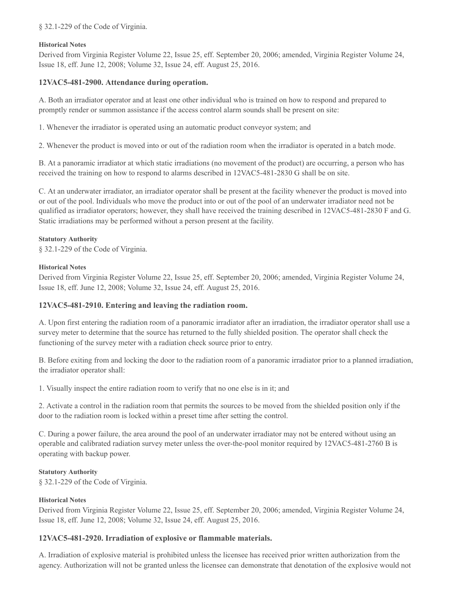#### § 32.1-229 of the Code of Virginia.

#### **Historical Notes**

Derived from Virginia Register Volume 22, Issue 25, eff. September 20, 2006; amended, Virginia Register Volume 24, Issue 18, eff. June 12, 2008; Volume 32, Issue 24, eff. August 25, 2016.

## **12VAC5-481-2900. Attendance during operation.**

A. Both an irradiator operator and at least one other individual who is trained on how to respond and prepared to promptly render or summon assistance if the access control alarm sounds shall be present on site:

1. Whenever the irradiator is operated using an automatic product conveyor system; and

2. Whenever the product is moved into or out of the radiation room when the irradiator is operated in a batch mode.

B. At a panoramic irradiator at which static irradiations (no movement of the product) are occurring, a person who has received the training on how to respond to alarms described in 12VAC5-481-2830 G shall be on site.

C. At an underwater irradiator, an irradiator operator shall be present at the facility whenever the product is moved into or out of the pool. Individuals who move the product into or out of the pool of an underwater irradiator need not be qualified as irradiator operators; however, they shall have received the training described in 12VAC5-481-2830 F and G. Static irradiations may be performed without a person present at the facility.

#### **Statutory Authority**

§ 32.1-229 of the Code of Virginia.

#### **Historical Notes**

Derived from Virginia Register Volume 22, Issue 25, eff. September 20, 2006; amended, Virginia Register Volume 24, Issue 18, eff. June 12, 2008; Volume 32, Issue 24, eff. August 25, 2016.

## **12VAC5-481-2910. Entering and leaving the radiation room.**

A. Upon first entering the radiation room of a panoramic irradiator after an irradiation, the irradiator operator shall use a survey meter to determine that the source has returned to the fully shielded position. The operator shall check the functioning of the survey meter with a radiation check source prior to entry.

B. Before exiting from and locking the door to the radiation room of a panoramic irradiator prior to a planned irradiation, the irradiator operator shall:

1. Visually inspect the entire radiation room to verify that no one else is in it; and

2. Activate a control in the radiation room that permits the sources to be moved from the shielded position only if the door to the radiation room is locked within a preset time after setting the control.

C. During a power failure, the area around the pool of an underwater irradiator may not be entered without using an operable and calibrated radiation survey meter unless the over-the-pool monitor required by 12VAC5-481-2760 B is operating with backup power.

## **Statutory Authority**

§ 32.1-229 of the Code of Virginia.

## **Historical Notes**

Derived from Virginia Register Volume 22, Issue 25, eff. September 20, 2006; amended, Virginia Register Volume 24, Issue 18, eff. June 12, 2008; Volume 32, Issue 24, eff. August 25, 2016.

## **12VAC5-481-2920. Irradiation of explosive or flammable materials.**

A. Irradiation of explosive material is prohibited unless the licensee has received prior written authorization from the agency. Authorization will not be granted unless the licensee can demonstrate that denotation of the explosive would not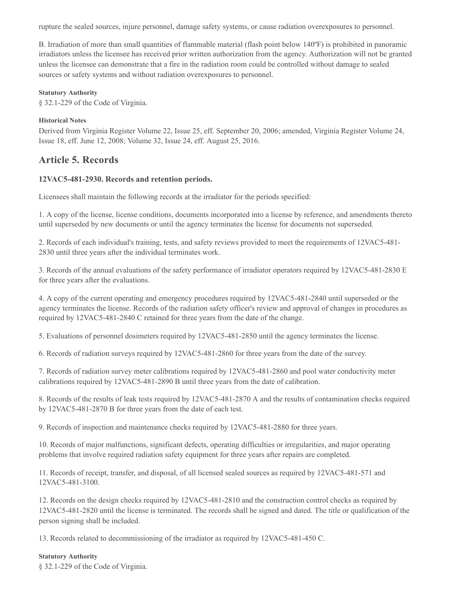rupture the sealed sources, injure personnel, damage safety systems, or cause radiation overexposures to personnel.

B. Irradiation of more than small quantities of flammable material (flash point below 140ºF) is prohibited in panoramic irradiators unless the licensee has received prior written authorization from the agency. Authorization will not be granted unless the licensee can demonstrate that a fire in the radiation room could be controlled without damage to sealed sources or safety systems and without radiation overexposures to personnel.

#### **Statutory Authority**

§ 32.1-229 of the Code of Virginia.

#### **Historical Notes**

Derived from Virginia Register Volume 22, Issue 25, eff. September 20, 2006; amended, Virginia Register Volume 24, Issue 18, eff. June 12, 2008; Volume 32, Issue 24, eff. August 25, 2016.

# **Article 5. Records**

## **12VAC5-481-2930. Records and retention periods.**

Licensees shall maintain the following records at the irradiator for the periods specified:

1. A copy of the license, license conditions, documents incorporated into a license by reference, and amendments thereto until superseded by new documents or until the agency terminates the license for documents not superseded.

2. Records of each individual's training, tests, and safety reviews provided to meet the requirements of 12VAC5-481- 2830 until three years after the individual terminates work.

3. Records of the annual evaluations of the safety performance of irradiator operators required by 12VAC5-481-2830 E for three years after the evaluations.

4. A copy of the current operating and emergency procedures required by 12VAC5-481-2840 until superseded or the agency terminates the license. Records of the radiation safety officer's review and approval of changes in procedures as required by 12VAC5-481-2840 C retained for three years from the date of the change.

5. Evaluations of personnel dosimeters required by 12VAC5-481-2850 until the agency terminates the license.

6. Records of radiation surveys required by 12VAC5-481-2860 for three years from the date of the survey.

7. Records of radiation survey meter calibrations required by 12VAC5-481-2860 and pool water conductivity meter calibrations required by 12VAC5-481-2890 B until three years from the date of calibration.

8. Records of the results of leak tests required by 12VAC5-481-2870 A and the results of contamination checks required by 12VAC5-481-2870 B for three years from the date of each test.

9. Records of inspection and maintenance checks required by 12VAC5-481-2880 for three years.

10. Records of major malfunctions, significant defects, operating difficulties or irregularities, and major operating problems that involve required radiation safety equipment for three years after repairs are completed.

11. Records of receipt, transfer, and disposal, of all licensed sealed sources as required by 12VAC5-481-571 and 12VAC5-481-3100.

12. Records on the design checks required by 12VAC5-481-2810 and the construction control checks as required by 12VAC5-481-2820 until the license is terminated. The records shall be signed and dated. The title or qualification of the person signing shall be included.

13. Records related to decommissioning of the irradiator as required by 12VAC5-481-450 C.

#### **Statutory Authority**

§ 32.1-229 of the Code of Virginia.